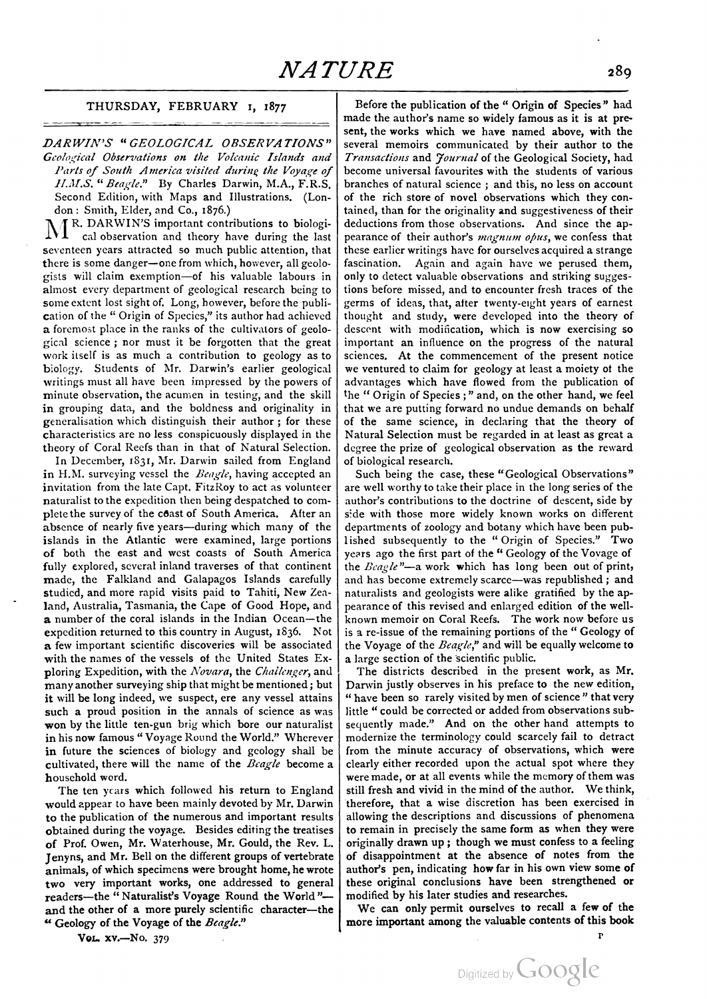## THURSDAY, FEBRUARY 1, <sup>1877</sup>

DARWIN'S "GEOLOGICAL OBSERVATIONS" Geological Observations on the Volcanic Islands and Parts of South America visited during the Voyage of H.M.S. " Beagle." By Charles Darwin, M.A., F.R.S. Second Edition, with Maps and Illustrations. (Lon-<br>don: Smith, Elder, and Co., 1876.)

 $M^{R.$  DARWIN'S important contributions to biological observation and theory have during the last seventeen years attracted so much public attention, that there is some danger—one from which, however, all geolo gists will claim exemption—of his valuable labours in almost every department of geological research being to some extent lost sight of. Long, however, before the publication of the "Origin of Species," its author had achieved a foremost place in the ranks of the cultivators of geolo gical science ; nor must it be forgotten that the great work itself is as much a contribution to geology as to biology. Students of Mr. Darwin's earlier geological writings must all have been impressed by the powers of minute observation, the acumen in testing, and the skill in grouping data, and the boldness and originality in generalisation which distinguish their author; for these characteristics are no less conspicuously displayed in the theory of Coral Reefs than in that of Natural Selection.

In December, 1831, Mr. Darwin sailed from England in H.M. surveying vessel the  $Beagle$ , having accepted an invitation from the late Capt. FitzRoy to act as volunteer naturalist to the expedition then being despatched to com plete the survey of the coast of South America. After an absence of nearly five years—during which many of the islands in the Atlantic were examined, large portions of both the east and west coasts of South America fully explored, several inland traverses of that continent made, the Falkland and Galapagos Islands carefully studied, and more rapid visits paid to Tahiti, New Zea land, Australia, Tasmania, the Cape of Good Hope, and a number of the coral islands in the Indian Ocean—the expedition returned to this country in August, 1836. Not a few important scientific discoveries will be associated with the names of the vessels of the United States Ex ploring Expedition, with the Novara, the Challenger, and many another surveying ship that might be mentioned; but it will be long indeed, we suspect, ere any vessel attains such a proud position in the annals of science as was won by the little ten-gun brig which bore our naturalist in his now famous "Voyage Round the World." Wherever in future the sciences of biology and geology shall be cultivated, there will the name of the  $Beagle$  become a household word.

The ten years which followed his return to England would appear to have been mainly devoted by Mr. Darwin to the publication of the numerous and important results obtained during the voyage. Besides editing the treatises of Prof. Owen, Mr. Waterhouse, Mr. Gould, the Rev. L. Jenyns, and Mr. Bell on the different groups of vertebrate animals, of which specimens were brought home, he wrote two very important works, one addressed to general readers—the "Naturalist's Voyage Round the World" and the other of a more purely scientific character—the " Geology of the Voyage of the Beagle."

Before the publication of the "Origin of Species" had made the author's name so widely famous as it is at pre sent, the works which we have named above, with the several memoirs communicated by their author to the Transactions and Journal of the Geological Society, had become universal favourites with the students of various branches of natural science ; and this, no less on account of the rich store of novel observations which they con tained, than for the originality and suggestiveness of their deductions from those observations. And since the ap pearance of their author's magnum obus, we confess that these earlier writings have for ourselves acquired a strange fascination. Again and again have we perused them, only to detect valuable observations and striking sugges tions before missed, and to encounter fresh traces of the germs of ideas, that, after twenty-eight years of earnest thought and study, were developed into the theory of descent with modification, which is now exercising so important an influence on the progress of the natural sciences. At the commencement of the present notice we ventured to claim for geology at least a moiety of the advantages which have flowed from the publication of the "Origin of Species;" and, on the other hand, we feel that we are putting forward no undue demands on behalf of the same science, in declaring that the theory of Natural Selection must be regarded in at least as great a degree the prize of geological observation as the reward of biological research.

Such being the case, these "Geological Observations" are well worthy to take their place in the long series of the author's contributions to the doctrine of descent, side by side with those more widely known works on different departments of zoology and botany which have been pub lished subsequently to the "Origin of Species." Two years ago the first part of the "Geology of the Voyage of the  $\text{B} \text{e}$ gle"—a work which has long been out of print, and has become extremely scarce—was republished ; and naturalists and geologists were alike gratified by the ap pearance of this revised and enlarged edition of the well known memoir on Coral Reefs. The work now before us is a re-issue of the remaining portions of the "Geology of the Voyage of the  $Beagle$ ," and will be equally welcome to <sup>a</sup> large section of the scientific public. The districts described in the present work, as Mr.

Darwin justly observes in his preface to the new edition, "have been so rarely visited by men of science" that very little "could be corrected or added from observations sub sequently made." And on the other hand attempts to modernize the terminology could scarcely fail to detract from the minute accuracy of observations, which were clearly either recorded upon the actual spot where they were made, or at all events while the memory of them was still fresh and vivid in the mind of the author. We think, therefore, that a wise discretion has been exercised in allowing the descriptions and discussions of phenomena to remain in precisely the same form as when they were originally drawn up; though we must confess to a feeling of disappointment at the absence of notes from the author's pen, indicating how far in his own view some of these original conclusions have been strengthened or

modified by his later studies and researches. We can only permit ourselves to recall <sup>a</sup> few of the more important among the valuable contents of this book

Vol. xv.–No. 379

P